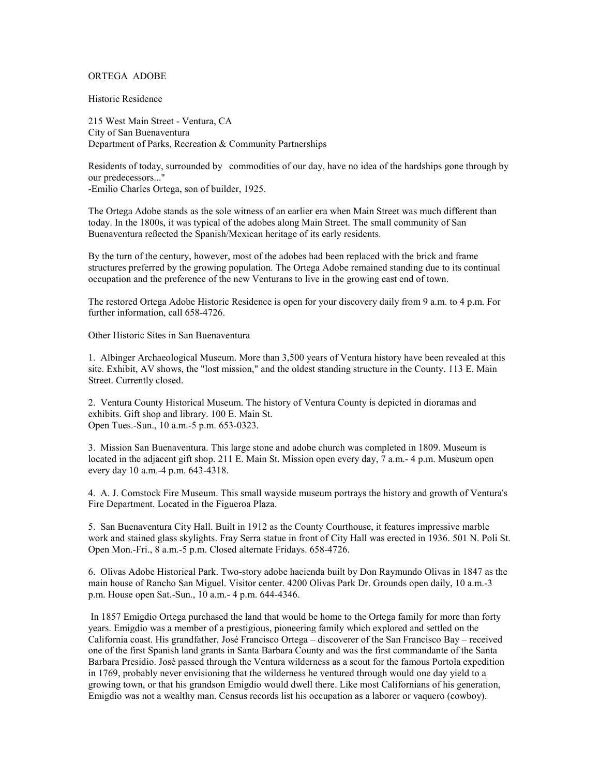## ORTEGA ADOBE

Historic Residence

215 West Main Street - Ventura, CA City of San Buenaventura Department of Parks, Recreation & Community Partnerships

Residents of today, surrounded by commodities of our day, have no idea of the hardships gone through by our predecessors..." -Emilio Charles Ortega, son of builder, 1925.

The Ortega Adobe stands as the sole witness of an earlier era when Main Street was much different than today. In the 1800s, it was typical of the adobes along Main Street. The small community of San

occupation and the preference of the new Venturans to live in the growing east end of town.

Buenaventura reßected the Spanish/Mexican heritage of its early residents. By the turn of the century, however, most of the adobes had been replaced with the brick and frame structures preferred by the growing population. The Ortega Adobe remained standing due to its continual

The restored Ortega Adobe Historic Residence is open for your discovery daily from 9 a.m. to 4 p.m. For further information, call 658-4726.

Other Historic Sites in San Buenaventura

1. Albinger Archaeological Museum. More than 3,500 years of Ventura history have been revealed at this site. Exhibit, AV shows, the "lost mission," and the oldest standing structure in the County. 113 E. Main Street. Currently closed.

2. Ventura County Historical Museum. The history of Ventura County is depicted in dioramas and exhibits. Gift shop and library. 100 E. Main St. Open Tues.-Sun., 10 a.m.-5 p.m. 653-0323.

3. Mission San Buenaventura. This large stone and adobe church was completed in 1809. Museum is located in the adjacent gift shop. 211 E. Main St. Mission open every day,  $\bar{7}$  a.m.- 4 p.m. Museum open every day 10 a.m.-4 p.m. 643-4318.

4. A. J. Comstock Fire Museum. This small wayside museum portrays the history and growth of Ventura's Fire Department. Located in the Figueroa Plaza.

5. San Buenaventura City Hall. Built in 1912 as the County Courthouse, it features impressive marble work and stained glass skylights. Fray Serra statue in front of City Hall was erected in 1936. 501 N. Poli St. Open Mon.-Fri., 8 a.m.-5 p.m. Closed alternate Fridays. 658-4726.

6. Olivas Adobe Historical Park. Two-story adobe hacienda built by Don Raymundo Olivas in 1847 as the main house of Rancho San Miguel. Visitor center. 4200 Olivas Park Dr. Grounds open daily, 10 a.m.-3 p.m. House open Sat.-Sun., 10 a.m.- 4 p.m. 644-4346.

 In 1857 Emigdio Ortega purchased the land that would be home to the Ortega family for more than forty years. Emigdio was a member of a prestigious, pioneering family which explored and settled on the California coast. His grandfather, José Francisco Ortega – discoverer of the San Francisco Bay – received one of the first Spanish land grants in Santa Barbara County and was the first commandante of the Santa Barbara Presidio. José passed through the Ventura wilderness as a scout for the famous Portola expedition in 1769, probably never envisioning that the wilderness he ventured through would one day yield to a growing town, or that his grandson Emigdio would dwell there. Like most Californians of his generation, Emigdio was not a wealthy man. Census records list his occupation as a laborer or vaquero (cowboy).